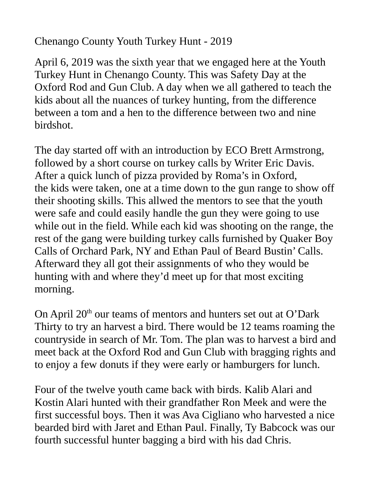Chenango County Youth Turkey Hunt - 2019

April 6, 2019 was the sixth year that we engaged here at the Youth Turkey Hunt in Chenango County. This was Safety Day at the Oxford Rod and Gun Club. A day when we all gathered to teach the kids about all the nuances of turkey hunting, from the difference between a tom and a hen to the difference between two and nine birdshot.

The day started off with an introduction by ECO Brett Armstrong, followed by a short course on turkey calls by Writer Eric Davis. After a quick lunch of pizza provided by Roma's in Oxford, the kids were taken, one at a time down to the gun range to show off their shooting skills. This allwed the mentors to see that the youth were safe and could easily handle the gun they were going to use while out in the field. While each kid was shooting on the range, the rest of the gang were building turkey calls furnished by Quaker Boy Calls of Orchard Park, NY and Ethan Paul of Beard Bustin' Calls. Afterward they all got their assignments of who they would be hunting with and where they'd meet up for that most exciting morning.

On April  $20<sup>th</sup>$  our teams of mentors and hunters set out at O'Dark Thirty to try an harvest a bird. There would be 12 teams roaming the countryside in search of Mr. Tom. The plan was to harvest a bird and meet back at the Oxford Rod and Gun Club with bragging rights and to enjoy a few donuts if they were early or hamburgers for lunch.

Four of the twelve youth came back with birds. Kalib Alari and Kostin Alari hunted with their grandfather Ron Meek and were the first successful boys. Then it was Ava Cigliano who harvested a nice bearded bird with Jaret and Ethan Paul. Finally, Ty Babcock was our fourth successful hunter bagging a bird with his dad Chris.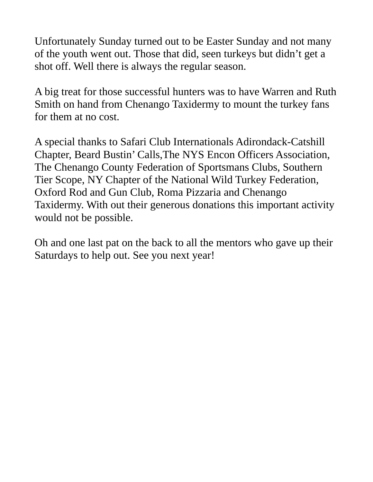Unfortunately Sunday turned out to be Easter Sunday and not many of the youth went out. Those that did, seen turkeys but didn't get a shot off. Well there is always the regular season.

A big treat for those successful hunters was to have Warren and Ruth Smith on hand from Chenango Taxidermy to mount the turkey fans for them at no cost.

A special thanks to Safari Club Internationals Adirondack-Catshill Chapter, Beard Bustin' Calls,The NYS Encon Officers Association, The Chenango County Federation of Sportsmans Clubs, Southern Tier Scope, NY Chapter of the National Wild Turkey Federation, Oxford Rod and Gun Club, Roma Pizzaria and Chenango Taxidermy. With out their generous donations this important activity would not be possible.

Oh and one last pat on the back to all the mentors who gave up their Saturdays to help out. See you next year!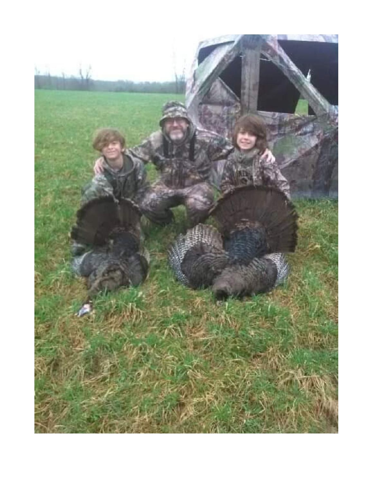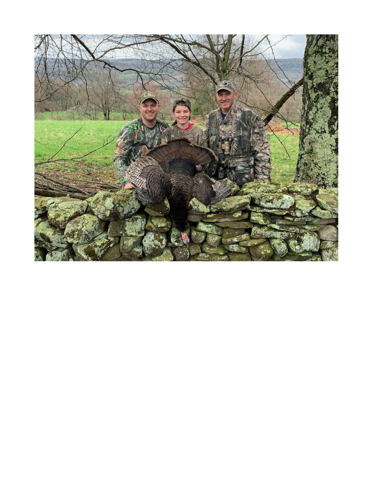